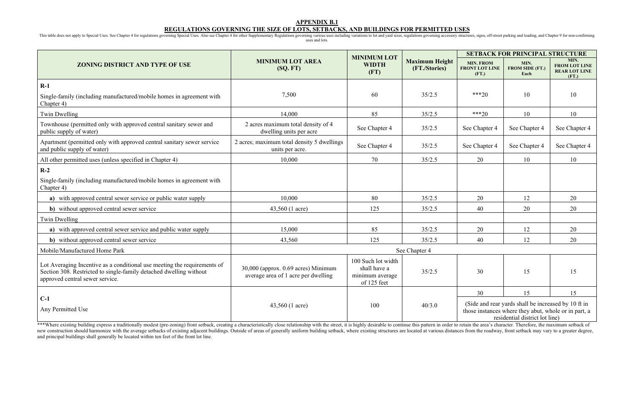#### **APPENDIX B.1**

# **REGULATIONS GOVERNING THE SIZE OF LOTS, SETBACKS, AND BUILDINGS FOR PERMITTED USES**

This table does not apply to Special Uses. See Chapter 4 for regulations governing Special Uses. Also see Chapter 4 for other Supplementary Regulations governing various uses including variations to lot and yard sizes, reg uses and lots.

|                                                                                                                                                                                   |                                                                            | <b>MINIMUM LOT</b>                                                   |                                        | <b>SETBACK FOR PRINCIPAL STRUCTURE</b>             |                                                                                                                                               |                                                               |  |
|-----------------------------------------------------------------------------------------------------------------------------------------------------------------------------------|----------------------------------------------------------------------------|----------------------------------------------------------------------|----------------------------------------|----------------------------------------------------|-----------------------------------------------------------------------------------------------------------------------------------------------|---------------------------------------------------------------|--|
| <b>ZONING DISTRICT AND TYPE OF USE</b>                                                                                                                                            | <b>MINIMUM LOT AREA</b><br>(SQ, FT)                                        | <b>WIDTH</b><br>(FT)                                                 | <b>Maximum Height</b><br>(FT./Stories) | <b>MIN. FROM</b><br><b>FRONT LOT LINE</b><br>(FT.) | MIN.<br><b>FROM SIDE (FT.)</b><br>Each                                                                                                        | MIN.<br><b>FROM LOT LINE</b><br><b>REAR LOT LINE</b><br>(FT.) |  |
| $R-1$                                                                                                                                                                             |                                                                            |                                                                      |                                        |                                                    |                                                                                                                                               |                                                               |  |
| Single-family (including manufactured/mobile homes in agreement with<br>Chapter 4)                                                                                                | 7,500                                                                      | 60                                                                   | 35/2.5                                 | $***20$                                            | 10                                                                                                                                            | 10                                                            |  |
| Twin Dwelling                                                                                                                                                                     | 14,000                                                                     | 85                                                                   | 35/2.5                                 | $***20$                                            | 10                                                                                                                                            | 10                                                            |  |
| Townhouse (permitted only with approved central sanitary sewer and<br>public supply of water)                                                                                     | 2 acres maximum total density of 4<br>dwelling units per acre              | See Chapter 4                                                        | 35/2.5                                 | See Chapter 4                                      | See Chapter 4                                                                                                                                 | See Chapter 4                                                 |  |
| Apartment (permitted only with approved central sanitary sewer service<br>and public supply of water)                                                                             | 2 acres; maximum total density 5 dwellings<br>units per acre.              | See Chapter 4                                                        | 35/2.5                                 | See Chapter 4                                      | See Chapter 4                                                                                                                                 | See Chapter 4                                                 |  |
| All other permitted uses (unless specified in Chapter 4)                                                                                                                          | 10,000                                                                     | 70                                                                   | 35/2.5                                 | 20                                                 | 10                                                                                                                                            | 10                                                            |  |
| $R-2$                                                                                                                                                                             |                                                                            |                                                                      |                                        |                                                    |                                                                                                                                               |                                                               |  |
| Single-family (including manufactured/mobile homes in agreement with<br>Chapter 4)                                                                                                |                                                                            |                                                                      |                                        |                                                    |                                                                                                                                               |                                                               |  |
| a) with approved central sewer service or public water supply                                                                                                                     | 10,000                                                                     | 80                                                                   | 35/2.5                                 | 20                                                 | 12                                                                                                                                            | 20                                                            |  |
| b) without approved central sewer service                                                                                                                                         | 43,560 (1 acre)                                                            | 125                                                                  | 35/2.5                                 | 40                                                 | 20                                                                                                                                            | 20                                                            |  |
| Twin Dwelling                                                                                                                                                                     |                                                                            |                                                                      |                                        |                                                    |                                                                                                                                               |                                                               |  |
| a) with approved central sewer service and public water supply                                                                                                                    | 15,000                                                                     | 85                                                                   | 35/2.5                                 | 20                                                 | 12                                                                                                                                            | 20                                                            |  |
| b) without approved central sewer service                                                                                                                                         | 43,560                                                                     | 125                                                                  | 35/2.5                                 | 40                                                 | 12                                                                                                                                            | 20                                                            |  |
| Mobile/Manufactured Home Park                                                                                                                                                     |                                                                            |                                                                      | See Chapter 4                          |                                                    |                                                                                                                                               |                                                               |  |
| Lot Averaging Incentive as a conditional use meeting the requirements of<br>Section 308. Restricted to single-family detached dwelling without<br>approved central sewer service. | 30,000 (approx. 0.69 acres) Minimum<br>average area of 1 acre per dwelling | 100 Such lot width<br>shall have a<br>minimum average<br>of 125 feet | 35/2.5                                 | 30                                                 | 15                                                                                                                                            | 15                                                            |  |
|                                                                                                                                                                                   |                                                                            |                                                                      |                                        | 30                                                 | 15                                                                                                                                            | 15                                                            |  |
| $C-1$<br>Any Permitted Use                                                                                                                                                        | 43,560 (1 acre)                                                            | 100                                                                  | 40/3.0                                 |                                                    | (Side and rear yards shall be increased by 10 ft in<br>those instances where they abut, whole or in part, a<br>residential district lot line) |                                                               |  |

\*\*\*Where existing building express a traditionally modest (pre-zoning) front setback, creating a characteristically close relationship with the street, it is highly desirable to continue this pattern in order to retain the new construction should harmonize with the average setbacks of existing adjacent buildings. Outside of areas of generally uniform building setback, where existing structures are located at various distances from the roadwa and principal buildings shall generally be located within ten feet of the front lot line.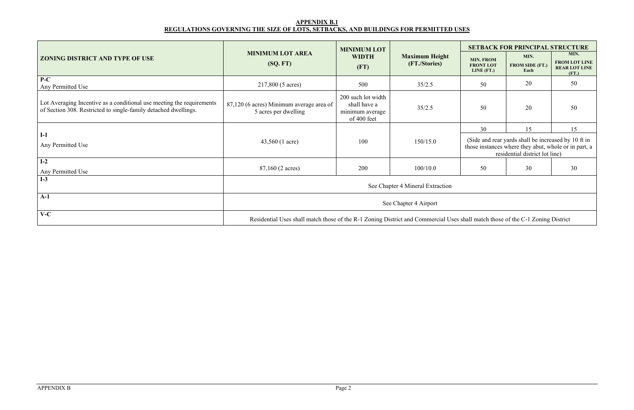# **APPENDIX B.1 REGULATIONS GOVERNING THE SIZE OF LOTS, SETBACKS, AND BUILDINGS FOR PERMITTED USES**

|                                                                                                                                          |                                                                                                                                | <b>MINIMUM LOT</b>                                                   |                                        | <b>SETBACK FOR PRINCIPAL STRUCTURE</b>                                                                                                        |                                        |                                                               |  |  |
|------------------------------------------------------------------------------------------------------------------------------------------|--------------------------------------------------------------------------------------------------------------------------------|----------------------------------------------------------------------|----------------------------------------|-----------------------------------------------------------------------------------------------------------------------------------------------|----------------------------------------|---------------------------------------------------------------|--|--|
| <b>ZONING DISTRICT AND TYPE OF USE</b>                                                                                                   | <b>MINIMUM LOT AREA</b><br>(SQ, FT)                                                                                            | <b>WIDTH</b><br>(FT)                                                 | <b>Maximum Height</b><br>(FT./Stories) | <b>MIN. FROM</b><br><b>FRONT LOT</b><br>LINE $(FT.)$                                                                                          | MIN.<br><b>FROM SIDE (FT.)</b><br>Each | MIN.<br><b>FROM LOT LINE</b><br><b>REAR LOT LINE</b><br>(FT.) |  |  |
| $P-C$<br>Any Permitted Use                                                                                                               | 217,800 (5 acres)                                                                                                              | 500                                                                  | 35/2.5                                 | 50                                                                                                                                            | 20                                     | 50                                                            |  |  |
| Lot Averaging Incentive as a conditional use meeting the requirements<br>of Section 308. Restricted to single-family detached dwellings. | 87,120 (6 acres) Minimum average area of<br>5 acres per dwelling                                                               | 200 such lot width<br>shall have a<br>minimum average<br>of 400 feet | 35/2.5                                 | 50                                                                                                                                            | 20                                     | 50                                                            |  |  |
|                                                                                                                                          |                                                                                                                                |                                                                      |                                        | 30                                                                                                                                            | 15                                     | 15                                                            |  |  |
| $I-1$<br>Any Permitted Use                                                                                                               | 43,560 (1 acre)                                                                                                                | 100                                                                  | 150/15.0                               | (Side and rear yards shall be increased by 10 ft in<br>those instances where they abut, whole or in part, a<br>residential district lot line) |                                        |                                                               |  |  |
| $I-2$<br>Any Permitted Use                                                                                                               | 87,160 (2 acres)                                                                                                               | 200                                                                  | 100/10.0                               | 50                                                                                                                                            | 30                                     | 30                                                            |  |  |
| $I-3$                                                                                                                                    | See Chapter 4 Mineral Extraction                                                                                               |                                                                      |                                        |                                                                                                                                               |                                        |                                                               |  |  |
| $A-1$                                                                                                                                    | See Chapter 4 Airport                                                                                                          |                                                                      |                                        |                                                                                                                                               |                                        |                                                               |  |  |
| $V-C$                                                                                                                                    | Residential Uses shall match those of the R-1 Zoning District and Commercial Uses shall match those of the C-1 Zoning District |                                                                      |                                        |                                                                                                                                               |                                        |                                                               |  |  |

| ۰           |
|-------------|
| ×<br>٠<br>× |
| š           |
|             |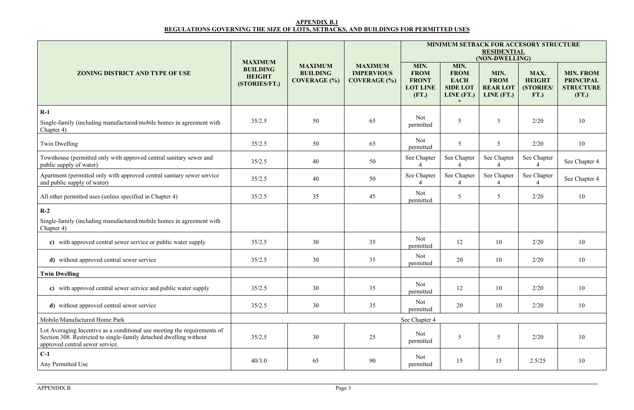## **APPENDIX B.1 REGULATIONS GOVERNING THE SIZE OF LOTS, SETBACKS, AND BUILDINGS FOR PERMITTED USES**

|                                                                                                                                                                                   | <b>MAXIMUM</b>                                    |                                                          |                                                            |                                                                 |                                                                     | <b>RESIDENTIAL</b><br>(NON-DWELLING)                 | <b>MINIMUM SETBACK FOR ACCESORY STRUCTURE</b> |                                                                   |
|-----------------------------------------------------------------------------------------------------------------------------------------------------------------------------------|---------------------------------------------------|----------------------------------------------------------|------------------------------------------------------------|-----------------------------------------------------------------|---------------------------------------------------------------------|------------------------------------------------------|-----------------------------------------------|-------------------------------------------------------------------|
| <b>ZONING DISTRICT AND TYPE OF USE</b>                                                                                                                                            | <b>BUILDING</b><br><b>HEIGHT</b><br>(STORIES/FT.) | <b>MAXIMUM</b><br><b>BUILDING</b><br><b>COVERAGE</b> (%) | <b>MAXIMUM</b><br><b>IMPERVIOUS</b><br><b>COVERAGE</b> (%) | MIN.<br><b>FROM</b><br><b>FRONT</b><br><b>LOT LINE</b><br>(FT.) | MIN.<br><b>FROM</b><br><b>EACH</b><br><b>SIDE LOT</b><br>LINE (FT.) | MIN.<br><b>FROM</b><br><b>REAR LOT</b><br>LINE (FT.) | MAX.<br><b>HEIGHT</b><br>(STORIES/<br>FT.)    | <b>MIN. FROM</b><br><b>PRINCIPAL</b><br><b>STRUCTURE</b><br>(FT.) |
| $R-1$                                                                                                                                                                             |                                                   |                                                          |                                                            | Not                                                             |                                                                     |                                                      |                                               |                                                                   |
| Single-family (including manufactured/mobile homes in agreement with<br>Chapter 4)                                                                                                | 35/2.5                                            | 50                                                       | 65                                                         | permitted                                                       | 5                                                                   | 5                                                    | 2/20                                          | 10                                                                |
| Twin Dwelling                                                                                                                                                                     | 35/2.5                                            | 50                                                       | 65                                                         | Not<br>permitted                                                | 5                                                                   | 5                                                    | 2/20                                          | 10                                                                |
| Townhouse (permitted only with approved central sanitary sewer and<br>public supply of water)                                                                                     | 35/2.5                                            | 40                                                       | 50                                                         | See Chapter                                                     | See Chapter                                                         | See Chapter                                          | See Chapter                                   | See Chapter 4                                                     |
| Apartment (permitted only with approved central sanitary sewer service<br>and public supply of water)                                                                             | 35/2.5                                            | 40                                                       | 50                                                         | See Chapter                                                     | See Chapter                                                         | See Chapter                                          | See Chapter                                   | See Chapter 4                                                     |
| All other permitted uses (unless specified in Chapter 4)                                                                                                                          | 35/2.5                                            | 35                                                       | 45                                                         | Not<br>permitted                                                | 5                                                                   | $\overline{5}$                                       | 2/20                                          | 10                                                                |
| $R-2$<br>Single-family (including manufactured/mobile homes in agreement with<br>Chapter 4)                                                                                       |                                                   |                                                          |                                                            |                                                                 |                                                                     |                                                      |                                               |                                                                   |
| c) with approved central sewer service or public water supply                                                                                                                     | 35/2.5                                            | 30                                                       | 35                                                         | Not<br>permitted                                                | 12                                                                  | 10                                                   | 2/20                                          | 10                                                                |
| d) without approved central sewer service                                                                                                                                         | 35/2.5                                            | 30                                                       | 35                                                         | Not<br>permitted                                                | 20                                                                  | 10                                                   | 2/20                                          | 10                                                                |
| <b>Twin Dwelling</b>                                                                                                                                                              |                                                   |                                                          |                                                            |                                                                 |                                                                     |                                                      |                                               |                                                                   |
| c) with approved central sewer service and public water supply                                                                                                                    | 35/2.5                                            | 30                                                       | 35                                                         | Not<br>permitted                                                | 12                                                                  | 10                                                   | 2/20                                          | 10                                                                |
| d) without approved central sewer service                                                                                                                                         | 35/2.5                                            | 30                                                       | 35                                                         | Not<br>permitted                                                | 20                                                                  | 10                                                   | 2/20                                          | 10                                                                |
| Mobile/Manufactured Home Park                                                                                                                                                     |                                                   |                                                          |                                                            | See Chapter 4                                                   |                                                                     |                                                      |                                               |                                                                   |
| Lot Averaging Incentive as a conditional use meeting the requirements of<br>Section 308. Restricted to single-family detached dwelling without<br>approved central sewer service. | 35/2.5                                            | 30                                                       | 25                                                         | Not<br>permitted                                                | 5                                                                   | 5                                                    | 2/20                                          | 10                                                                |
| $C-1$<br>Any Permitted Use                                                                                                                                                        | 40/3.0                                            | 65                                                       | 90                                                         | Not<br>permitted                                                | 15                                                                  | 15                                                   | 2.5/25                                        | 10                                                                |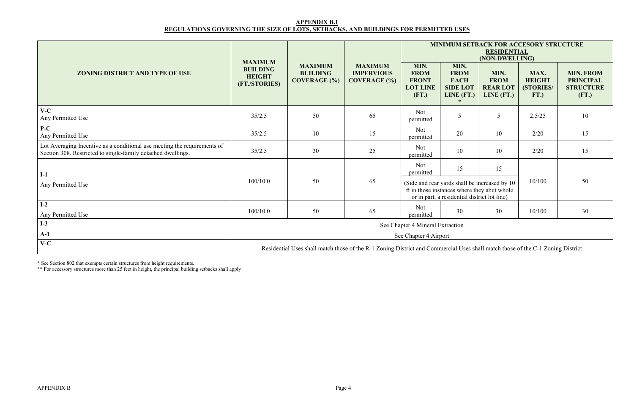## **APPENDIX B.1 REGULATIONS GOVERNING THE SIZE OF LOTS, SETBACKS, AND BUILDINGS FOR PERMITTED USES**

|                                                                                                                                          | <b>MAXIMUM</b><br><b>BUILDING</b><br><b>HEIGHT</b><br>(FT./STORIES) | <b>MAXIMUM</b><br><b>BUILDING</b><br><b>COVERAGE</b> (%) | <b>MAXIMUM</b><br><b>IMPERVIOUS</b><br><b>COVERAGE</b> (%) | <b>MINIMUM SETBACK FOR ACCESORY STRUCTURE</b><br><b>RESIDENTIAL</b><br>(NON-DWELLING) |                                                                                                                                              |                                                       |                                            |                                                                   |
|------------------------------------------------------------------------------------------------------------------------------------------|---------------------------------------------------------------------|----------------------------------------------------------|------------------------------------------------------------|---------------------------------------------------------------------------------------|----------------------------------------------------------------------------------------------------------------------------------------------|-------------------------------------------------------|--------------------------------------------|-------------------------------------------------------------------|
| <b>ZONING DISTRICT AND TYPE OF USE</b>                                                                                                   |                                                                     |                                                          |                                                            | MIN.<br><b>FROM</b><br><b>FRONT</b><br><b>LOT LINE</b><br>(FT.)                       | MIN.<br><b>FROM</b><br><b>EACH</b><br><b>SIDE LOT</b><br>LINE (FT.)                                                                          | MIN.<br><b>FROM</b><br><b>REARLOT</b><br>LINE $(FT.)$ | MAX.<br><b>HEIGHT</b><br>(STORIES/<br>FT.) | <b>MIN. FROM</b><br><b>PRINCIPAL</b><br><b>STRUCTURE</b><br>(FT.) |
| $V-C$<br>Any Permitted Use                                                                                                               | 35/2.5                                                              | 50                                                       | 65                                                         | Not<br>permitted                                                                      | 5                                                                                                                                            | 5                                                     | 2.5/25                                     | 10                                                                |
| $P-C$<br>Any Permitted Use                                                                                                               | 35/2.5                                                              | 10                                                       | 15                                                         | Not<br>permitted                                                                      | 20                                                                                                                                           | 10                                                    | 2/20                                       | 15                                                                |
| Lot Averaging Incentive as a conditional use meeting the requirements of<br>Section 308. Restricted to single-family detached dwellings. | 35/2.5                                                              | 30                                                       | 25                                                         | Not<br>permitted                                                                      | 10                                                                                                                                           | 10                                                    | 2/20                                       | 15                                                                |
| $I-1$                                                                                                                                    |                                                                     |                                                          |                                                            | Not<br>permitted                                                                      | 15                                                                                                                                           | 15                                                    |                                            |                                                                   |
| Any Permitted Use                                                                                                                        | 100/10.0                                                            | 50                                                       | 65                                                         |                                                                                       | (Side and rear yards shall be increased by 10<br>ft in those instances where they abut whole<br>or in part, a residential district lot line) |                                                       | 10/100                                     | 50                                                                |
| $I-2$<br>Any Permitted Use                                                                                                               | 100/10.0                                                            | 50                                                       | 65                                                         | Not<br>permitted                                                                      | 30                                                                                                                                           | 30                                                    | 10/100                                     | 30                                                                |
| $I-3$                                                                                                                                    | See Chapter 4 Mineral Extraction                                    |                                                          |                                                            |                                                                                       |                                                                                                                                              |                                                       |                                            |                                                                   |
| $A-1$                                                                                                                                    | See Chapter 4 Airport                                               |                                                          |                                                            |                                                                                       |                                                                                                                                              |                                                       |                                            |                                                                   |
| $V-C$<br>Residential Uses shall match those of the R-1 Zoning District and Commercial Uses shall match those of the C-1 Zoning District  |                                                                     |                                                          |                                                            |                                                                                       |                                                                                                                                              |                                                       |                                            |                                                                   |

\* See Section 802 that exempts certain structures from height requirements.

\*\* For accessory structures more than 25 feet in height, the principal building setbacks shall apply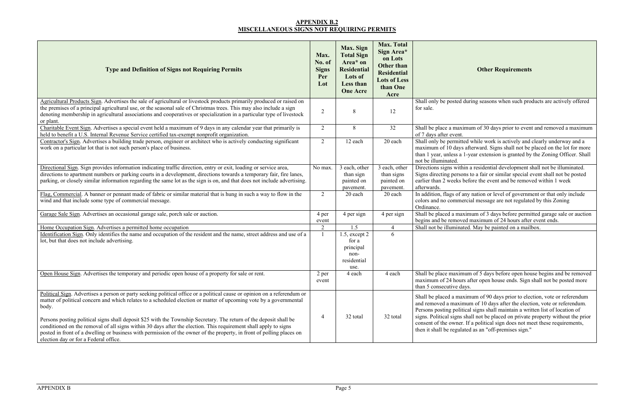#### **APPENDIX B.2 MISCELLANEOUS SIGNS NOT REQUIRING PERMITS**

## **Other Requirements**

uring seasons when such products are actively offered

num of 30 days prior to event and removed a maximum

d while work is actively and clearly underway and a afterward. Signs shall not be placed on the lot for more -year extension is granted by the Zoning Officer. Shall

n a residential development shall not be illuminated. s to a fair or similar special event shall not be posted efore the event and be removed within 1 week

ity nation or level of government or that only include cial message are not regulated by this Zoning

imum of 3 days before permitted garage sale or auction I maximum of 24 hours after event ends. ed. May be painted on a mailbox.

am of 5 days before open house begins and be removed after open house ends. Sign shall not be posted more

imum of 90 days prior to election, vote or referendum um of 10 days after the election, vote or referendum. ersons in postsions a written list of location of hall not be placed on private property without the prior If a political sign does not meet these requirements, ed as an "off-premises sign."

| <b>Type and Definition of Signs not Requiring Permits</b>                                                                                                                                                                                                                                                                                                                                                                                                                                                                                                                                                                                                           | Max.<br>No. of<br><b>Signs</b><br>Per<br>Lot | Max. Sign<br><b>Total Sign</b><br>Area* on<br><b>Residential</b><br>Lots of<br>Less than<br><b>One Acre</b> | <b>Max. Total</b><br>Sign Area*<br>on Lots<br><b>Other than</b><br><b>Residential</b><br><b>Lots of Less</b><br>than One<br>Acre |                                                                                                                                                                       |
|---------------------------------------------------------------------------------------------------------------------------------------------------------------------------------------------------------------------------------------------------------------------------------------------------------------------------------------------------------------------------------------------------------------------------------------------------------------------------------------------------------------------------------------------------------------------------------------------------------------------------------------------------------------------|----------------------------------------------|-------------------------------------------------------------------------------------------------------------|----------------------------------------------------------------------------------------------------------------------------------|-----------------------------------------------------------------------------------------------------------------------------------------------------------------------|
| Agricultural Products Sign. Advertises the sale of agricultural or livestock products primarily produced or raised on<br>the premises of a principal agricultural use, or the seasonal sale of Christmas trees. This may also include a sign<br>denoting membership in agricultural associations and cooperatives or specialization in a particular type of livestock<br>or plant.                                                                                                                                                                                                                                                                                  | $\overline{2}$                               | 8                                                                                                           | 12                                                                                                                               | Shall only be posted dur<br>for sale.                                                                                                                                 |
| Charitable Event Sign. Advertises a special event held a maximum of 9 days in any calendar year that primarily is<br>held to benefit a U.S. Internal Revenue Service certified tax-exempt nonprofit organization.                                                                                                                                                                                                                                                                                                                                                                                                                                                   | $\overline{2}$                               | 8                                                                                                           | 32                                                                                                                               | Shall be place a maximu<br>of 7 days after event.                                                                                                                     |
| Contractor's Sign. Advertises a building trade person, engineer or architect who is actively conducting significant<br>work on a particular lot that is not such person's place of business.                                                                                                                                                                                                                                                                                                                                                                                                                                                                        | $\overline{2}$                               | 12 each                                                                                                     | 20 each                                                                                                                          | Shall only be permitted<br>maximum of 10 days aft<br>than 1 year, unless a 1-y<br>not be illuminated.                                                                 |
| Directional Sign. Sign provides information indicating traffic direction, entry or exit, loading or service area,<br>directions to apartment numbers or parking courts in a development, directions towards a temporary fair, fire lanes,<br>parking, or closely similar information regarding the same lot as the sign is on, and that does not include advertising.                                                                                                                                                                                                                                                                                               | No max.                                      | 3 each, other<br>than sign<br>painted on<br>pavement.                                                       | 3 each, other<br>than signs<br>painted on<br>pavement.                                                                           | Directions signs within a<br>Signs directing persons t<br>earlier than 2 weeks befo<br>afterwards.                                                                    |
| Flag, Commercial. A banner or pennant made of fabric or similar material that is hung in such a way to flow in the<br>wind and that include some type of commercial message.                                                                                                                                                                                                                                                                                                                                                                                                                                                                                        | $\overline{2}$                               | 20 each                                                                                                     | 20 each                                                                                                                          | In addition, flags of any<br>colors and no commercia<br>Ordinance.                                                                                                    |
| Garage Sale Sign. Advertises an occasional garage sale, porch sale or auction.                                                                                                                                                                                                                                                                                                                                                                                                                                                                                                                                                                                      | 4 per<br>event                               | 4 per sign                                                                                                  | 4 per sign                                                                                                                       | Shall be placed a maxim<br>begins and be removed i                                                                                                                    |
| Home Occupation Sign. Advertises a permitted home occupation                                                                                                                                                                                                                                                                                                                                                                                                                                                                                                                                                                                                        | $\overline{2}$                               | 1.5                                                                                                         | $\overline{4}$                                                                                                                   | Shall not be illuminated.                                                                                                                                             |
| Identification Sign. Only identifies the name and occupation of the resident and the name, street address and use of a<br>lot, but that does not include advertising.                                                                                                                                                                                                                                                                                                                                                                                                                                                                                               | 1                                            | $1.5$ , except $2$<br>for a<br>principal<br>non-<br>residential<br>use.                                     | 6                                                                                                                                |                                                                                                                                                                       |
| Open House Sign. Advertises the temporary and periodic open house of a property for sale or rent.                                                                                                                                                                                                                                                                                                                                                                                                                                                                                                                                                                   | 2 per<br>event                               | 4 each                                                                                                      | 4 each                                                                                                                           | Shall be place maximum<br>maximum of 24 hours at<br>than 5 consecutive days.                                                                                          |
| Political Sign. Advertises a person or party seeking political office or a political cause or opinion on a referendum or<br>matter of political concern and which relates to a scheduled election or matter of upcoming vote by a governmental<br>body.<br>Persons posting political signs shall deposit \$25 with the Township Secretary. The return of the deposit shall be<br>conditioned on the removal of all signs within 30 days after the election. This requirement shall apply to signs<br>posted in front of a dwelling or business with permission of the owner of the property, in front of polling places on<br>election day or for a Federal office. | $\overline{4}$                               | 32 total                                                                                                    | 32 total                                                                                                                         | Shall be placed a maxim<br>and removed a maximur<br>Persons posting political<br>signs. Political signs sha<br>consent of the owner. If<br>then it shall be regulated |